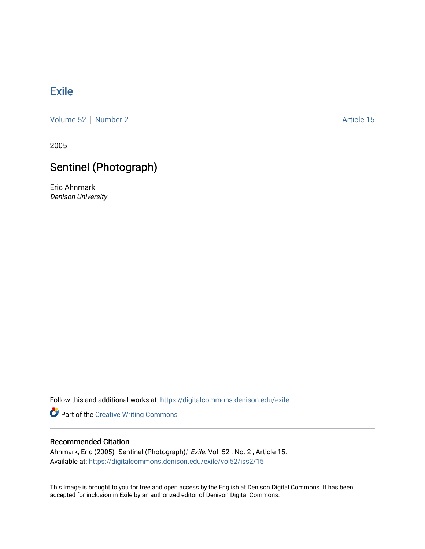## **[Exile](https://digitalcommons.denison.edu/exile)**

[Volume 52](https://digitalcommons.denison.edu/exile/vol52) [Number 2](https://digitalcommons.denison.edu/exile/vol52/iss2) Article 15

2005

## Sentinel (Photograph)

Eric Ahnmark Denison University

Follow this and additional works at: [https://digitalcommons.denison.edu/exile](https://digitalcommons.denison.edu/exile?utm_source=digitalcommons.denison.edu%2Fexile%2Fvol52%2Fiss2%2F15&utm_medium=PDF&utm_campaign=PDFCoverPages) 

**Part of the Creative Writing Commons** 

## Recommended Citation

Ahnmark, Eric (2005) "Sentinel (Photograph)," Exile: Vol. 52 : No. 2 , Article 15. Available at: [https://digitalcommons.denison.edu/exile/vol52/iss2/15](https://digitalcommons.denison.edu/exile/vol52/iss2/15?utm_source=digitalcommons.denison.edu%2Fexile%2Fvol52%2Fiss2%2F15&utm_medium=PDF&utm_campaign=PDFCoverPages)

This Image is brought to you for free and open access by the English at Denison Digital Commons. It has been accepted for inclusion in Exile by an authorized editor of Denison Digital Commons.